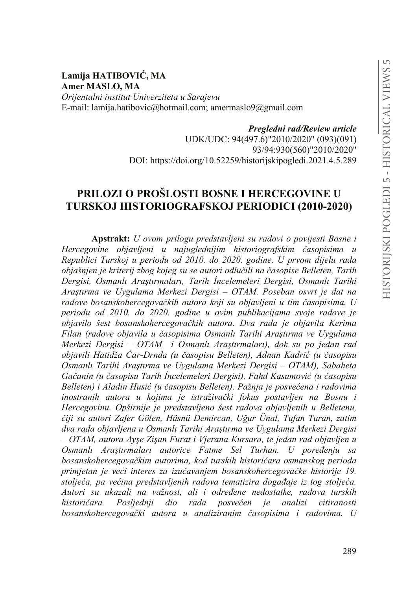**Lamija HATIBOVIĆ, MA Amer MASLO, MA** *Orijentalni institut Univerziteta u Sarajevu* E-mail: lamija.hatibovic@hotmail.com; amermaslo9@gmail.com

*Pregledni rad/Review article*

UDK/UDC: 94(497.6)"2010/2020" (093)(091) 93/94:930(560)"2010/2020" DOI: https://doi.org/10.52259/historijskipogledi.2021.4.5.289

# **PRILOZI O PROŠLOSTI BOSNE I HERCEGOVINE U TURSKOJ HISTORIOGRAFSKOJ PERIODICI (2010-2020)**

**Apstrakt:** *U ovom prilogu predstavljeni su radovi o povijesti Bosne i Hercegovine objavljeni u najuglednijim historiografskim časopisima u Republici Turskoj u periodu od 2010. do 2020. godine. U prvom dijelu rada REMDãQMHQMHNULWHULM]ERJNRMHJVXVHDXWRULRGOXþLOLQDþDVRSLVH Belleten, Tarih*  Dergisi, Osmanlı Araştırmaları, Tarih İncelemeleri Dergisi, Osmanlı Tarihi *\$UDúWÕUPD YH 8\JXODPD 0HUNH]L 'HUJLVL – OTAM. Poseban osvrt je dat na radove bosanskohercegovačkih autora koji su objavljeni u tim časopisima. U periodu od 2010. do 2020. godine u ovim publikacijama svoje radove je objavilo šest bosanskohercegovačkih autora. Dva rada je objavila Kerima* Filan (radove objavila u časopisima Osmanlı Tarihi Arastırma ve Uvgulama *Merkezi Dergisi – OTAM i Osmanlı Araştırmaları), dok su po jedan rad objavili Hatidža Čar-Drnda (u časopisu Belleten), Adnan Kadrić (u časopisu 2Gomanlı Tarihi Araştırma ve Uygulama Merkezi Dergisi – OTAM), Sabaheta* Gačanin (u časopisu Tarih *Incelemeleri Dergisi), Fahd Kasumović (u časopisu* Belleten) *i Aladin Husić (u časopisu Belleten). Pažnja je posvećena i radovima LaDRIA Andrea il kojima je istraživački fokus postavljen na Bosnu i Hercegovinu. Opširnije je predstavljeno šest radova objavljenih u Belletenu, þLML VX DXWRUL =DIHU \*|OHQ +VQ 'HPLUFDQ 8÷XUhQDO 7XIDQ Turan, zatim* dva rada objavljena u Osmanlı Tarihi Araştırma ve Uygulama Merkezi Dergisi  $\overline{u}$  *– OTAM, autora Ayse Zisan Furat i Vjerana Kursara, te jedan rad objavljen u* Osmanlı Araştırmaları autorice Fatme Sel Turhan. U poređenju sa *ERVDQVNRKHUFHJRYDþNLP DXWRULPDNRGWXUVNLK KLVWRULþDUa osmanskog perioda primjetan je veći interes za izučavanjem bosanskohercegovačke historije 19.* stoljeća, pa većina predstavljenih radova tematizira događaje iz tog stoljeća. *\$XWRUL VX XND]DOL QD YDåQRVW DOL L RGUHÿHQH QHGRVWDWNH UDGRYD WXUVNLK historičara. Posljednji dio rada posvećen je analizi citiranosti bosanskohercegovački autora u analiziranim časopisima i radovima. U*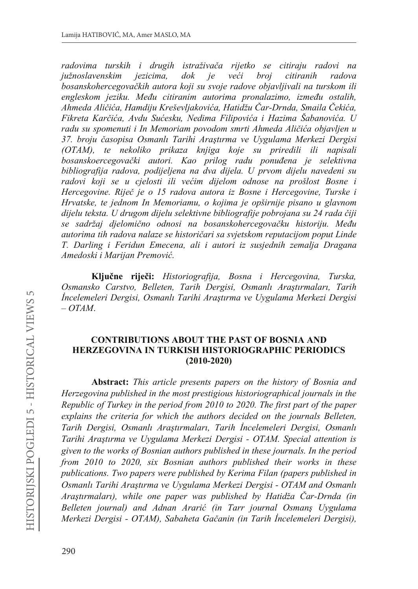radovima turskih i drugih istraživača rijetko se citiraju radovi na jezicima, veći citiranih južnoslavenskim  $d$ o $k$ je broi radova bosanskohercegovačkih autora koji su svoje radove objavljivali na turskom ili engleskom jeziku. Među citiranim autorima pronalazimo, između ostalih, Ahmeda Aličića, Hamdiju Kreševljakovića, Hatidžu Čar-Drnda, Smaila Čekića. Fikreta Karčića, Avdu Sućesku, Nedima Filipovića i Hazima Šabanovića. U radu su spomenuti i In Memoriam povodom smrti Ahmeda Aličića objavljen u 37. broju časopisa Osmanlı Tarihi Arastırma ve Uygulama Merkezi Dergisi (OTAM), te nekoliko prikaza knjiga koje su priredili ili napisali bosanskoercegovački autori. Kao prilog radu ponuđena je selektivna bibliografija radova, podijeljena na dva dijela. U prvom dijelu navedeni su radovi koji se u cjelosti ili većim dijelom odnose na prošlost Bosne i Hercegovine. Riječ je o 15 radova autora iz Bosne i Hercegovine, Turske i Hrvatske, te jednom In Memoriamu, o kojima je opširnije pisano u glavnom dijelu teksta. U drugom dijelu selektivne bibliografije pobrojana su 24 rada čiji se sadržaj djelomično odnosi na bosanskohercegovačku historiju. Među autorima tih radova nalaze se historičari sa svjetskom reputacijom poput Linde T. Darling i Feridun Emecena, ali i autori iz susjednih zemalja Dragana Amedoski i Marijan Premović.

Ključne riječi: Historiografija, Bosna i Hercegovina, Turska, Osmansko Carstvo, Belleten, Tarih Dergisi, Osmanlı Arastırmaları, Tarih Incelemeleri Dergisi, Osmanlı Tarihi Arastırma ve Uvgulama Merkezi Dergisi  $- O T A M$ .

## **CONTRIBUTIONS ABOUT THE PAST OF BOSNIA AND** HERZEGOVINA IN TURKISH HISTORIOGRAPHIC PERIODICS  $(2010 - 2020)$

**Abstract:** This article presents papers on the history of Bosnia and Herzegovina published in the most prestigious historiographical journals in the Republic of Turkey in the period from 2010 to 2020. The first part of the paper explains the criteria for which the authors decided on the journals Belleten, Tarih Dergisi, Osmanlı Araştırmaları, Tarih İncelemeleri Dergisi, Osmanlı Tarihi Araştırma ve Uygulama Merkezi Dergisi - OTAM. Special attention is given to the works of Bosnian authors published in these journals. In the period from 2010 to 2020, six Bosnian authors published their works in these publications. Two papers were published by Kerima Filan (papers published in Osmanlı Tarihi Araştırma ve Uygulama Merkezi Dergisi - OTAM and Osmanlı Araştırmaları), while one paper was published by Hatidža Čar-Drnda (in Belleten journal) and Adnan Ararić (in Tarr journal Osmans Uygulama Merkezi Dergisi - OTAM), Sabaheta Gačanin (in Tarih İncelemeleri Dergisi),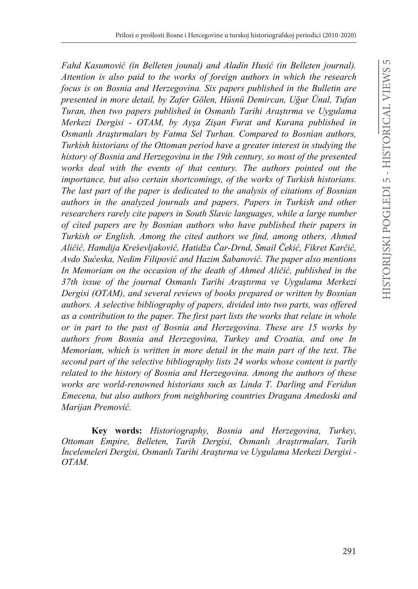*Fahd Kasumović (in Belleten jounal) and Aladin Husić (in Belleten journal). Attention is also paid to the works of foreign authors in which the research focus is on Bosnia and Herzegovina. Six papers published in the Bulletin are*  presented in more detail, by Zafer Gölen, Hüsnü Demircan, Uğur Ünal, Tufan *Turan, then two papers published in Osmanlı Tarihi Araştırma ve Uygulama Merkezi Dergisi - OTAM, by Aysa Zisan Furat and Kurana published in <u>Osmanlı Arastırmaları by Fatma Sel Turhan. Compared to Bosnian authors,</u> Turkish historians of the Ottoman period have a greater interest in studying the history of Bosnia and Herzegovina in the 19th century, so most of the presented works deal with the events of that century. The authors pointed out the importance, but also certain shortcomings, of the works of Turkish historians. The last part of the paper is dedicated to the analysis of citations of Bosnian authors in the analyzed journals and papers. Papers in Turkish and other researchers rarely cite papers in South Slavic languages, while a large number of cited papers are by Bosnian authors who have published their papers in Turkish or English. Among the cited authors we find, among others, Ahmed \$OLþLü+DPGLMD.UHãHYOMDNRYLü+DWLGåDýDU-'UQG6PDLOýHNLü)LNUHW.DUþLü* Avdo Sućeska, Nedim Filipović and Hazim Šabanović. The paper also mentions In Memoriam on the occasion of the death of Ahmed Aličić, published in the *37th issue of the journal Osmanlı Tarihi Araştırma ve Uygulama Merkezi Dergisi (OTAM), and several reviews of books prepared or written by Bosnian authors. A selective bibliography of papers, divided into two parts, was offered as a contribution to the paper. The first part lists the works that relate in whole or in part to the past of Bosnia and Herzegovina. These are 15 works by authors from Bosnia and Herzegovina, Turkey and Croatia, and one In Memoriam, which is written in more detail in the main part of the text. The second part of the selective bibliography lists 24 works whose content is partly related to the history of Bosnia and Herzegovina. Among the authors of these works are world-renowned historians such as Linda T. Darling and Feridun Emecena, but also authors from neighboring countries Dragana Amedoski and Marijan Premović.* 

**Key words:** *Historiography, Bosnia and Herzegovina, Turkey, Ottoman Empire, Belleten, Tarih Dergisi, Osmanlı Araştırmaları, Tarih øQFHOHPHOHUL'HUJLVL2VPDQOÕ7DULKL\$UDúWÕUPDYHUygulama Merkezi Dergisi - OTAM.*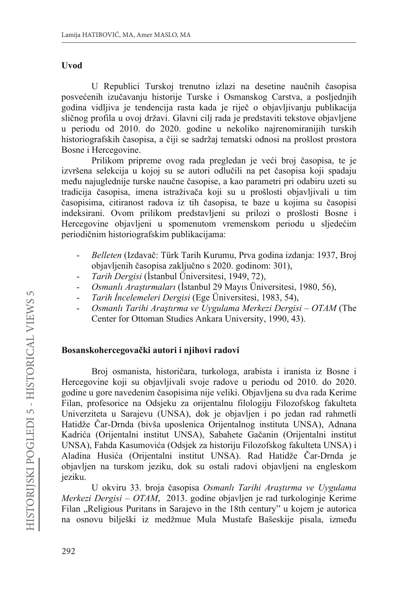## Uvod

U Republici Turskoj trenutno izlazi na desetine naučnih časopisa posvećenih izučavanju historije Turske i Osmanskog Carstva, a posljednjih godina vidlijva je tendencija rasta kada je riječ o objavljivanju publikacija sličnog profila u ovoj državi. Glavni cilj rada je predstaviti tekstove objavljene u periodu od 2010. do 2020. godine u nekoliko najrenomiranijih turskih historiografskih časopisa, a čiji se sadržaj tematski odnosi na prošlost prostora Bosne i Hercegovine.

Prilikom pripreme ovog rada pregledan je veći broj časopisa, te je izvršena selekcija u kojoj su se autori odlučili na pet časopisa koji spadaju među najuglednije turske naučne časopise, a kao parametri pri odabiru uzeti su tradicija časopisa, imena istraživača koji su u prošlosti objavljivali u tim časopisima, citiranost radova iz tih časopisa, te baze u kojima su časopisi indeksirani. Ovom prilikom predstavljeni su prilozi o prošlosti Bosne i Hercegovine objavljeni u spomenutom vremenskom periodu u sljedećim periodičnim historiografskim publikacijama:

- $\overline{\phantom{a}}$ Belleten (Izdavač: Türk Tarih Kurumu, Prva godina izdanja: 1937, Broj objavljenih časopisa zaključno s 2020. godinom: 301),
- Tarih Dergisi (İstanbul Üniversitesi, 1949, 72),
- Osmanlı Arastırmaları (İstanbul 29 Mayıs Üniversitesi, 1980, 56),
- Tarih İncelemeleri Dergisi (Ege Üniversitesi, 1983, 54),
- Osmanlı Tarihi Araştırma ve Uygulama Merkezi Dergisi OTAM (The Center for Ottoman Studies Ankara University, 1990, 43).

## Bosanskohercegovački autori i njihovi radovi

Broj osmanista, historičara, turkologa, arabista i iranista iz Bosne i Hercegovine koji su objavljivali svoje radove u periodu od 2010. do 2020. godine u gore navedenim časopisima nije veliki. Objavljena su dva rada Kerime Filan, profesorice na Odsjeku za orijentalnu filologiju Filozofskog fakulteta Univerziteta u Sarajevu (UNSA), dok je objavljen i po jedan rad rahmetli Hatidže Čar-Drnda (bivša uposlenica Orijentalnog instituta UNSA), Adnana Kadrića (Orijentalni institut UNSA), Sabahete Gačanin (Orijentalni institut UNSA), Fahda Kasumovića (Odsjek za historiju Filozofskog fakulteta UNSA) i Aladina Husića (Orijentalni institut UNSA). Rad Hatidže Čar-Drnda je objavljen na turskom jeziku, dok su ostali radovi objavljeni na engleskom ieziku.

U okviru 33. broja časopisa Osmanlı Tarihi Araştırma ve Uygulama Merkezi Dergisi – OTAM, 2013. godine objavljen je rad turkologinje Kerime Filan "Religious Puritans in Sarajevo in the 18th century" u kojem je autorica na osnovu bilješki iz medžmue Mula Mustafe Bašeskije pisala, između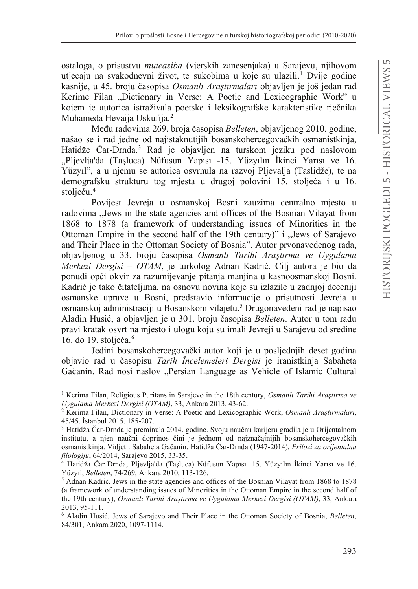ostaloga, o prisustvu *muteasiba* (vierskih zaneseniaka) u Sarajevu, nijhovom utjecaju na svakodnevni život, te sukobima u koje su ulazili.<sup>1</sup> Dvije godine kasnije, u 45. broju časopisa Osmanlı Arastırmaları objavljen je još jedan rad Kerime Filan "Dictionary in Verse: A Poetic and Lexicographic Work" u kojem je autorica istraživala poetske i leksikografske karakteristike rječnika Muhameda Hevaija Uskufija.<sup>2</sup>

Među radovima 269. broja časopisa Belleten, objavljenog 2010. godine, našao se i rad jedne od najistaknutijih bosanskohercegovačkih osmanistkinja, Hatidže Čar-Drnda.<sup>3</sup> Rad je objavljen na turskom jeziku pod naslovom "Pljevlja'da (Taşluca) Nüfusun Yapısı -15. Yüzyılın İkinci Yarısı ve 16. Yüzyıl", a u njemu se autorica osvrnula na razvoj Pljevalja (Taslidže), te na demografsku strukturu tog mjesta u drugoj polovini 15. stoljeća i u 16. stolieću.<sup>4</sup>

Povijest Jevreja u osmanskoj Bosni zauzima centralno mjesto u radovima "Jews in the state agencies and offices of the Bosnian Vilayat from 1868 to 1878 (a framework of understanding issues of Minorities in the Ottoman Empire in the second half of the 19th century)" i "Jews of Sarajevo and Their Place in the Ottoman Society of Bosnia". Autor prvonavedenog rada, objavljenog u 33. broju časopisa Osmanlı Tarihi Araştırma ve Uygulama Merkezi Dergisi - OTAM, je turkolog Adnan Kadrić. Cilj autora je bio da ponudi opći okvir za razumijevanje pitanja manjina u kasnoosmanskoj Bosni. Kadrić je tako čitateljima, na osnovu novina koje su izlazile u zadnjoj deceniji osmanske uprave u Bosni, predstavio informacije o prisutnosti Jevreja u osmanskoj administraciji u Bosanskom vilajetu.<sup>5</sup> Drugonavedeni rad je napisao Aladin Husić, a objavljen je u 301. broju časopisa Belleten. Autor u tom radu pravi kratak osvrt na mjesto i ulogu koju su imali Jevreji u Sarajevu od sredine 16. do 19. stolieća. $6$ 

Jedini bosanskohercegovački autor koji je u posljednjih deset godina objavio rad u časopisu Tarih Incelemeleri Dergisi je iranistkinja Sabaheta Gačanin. Rad nosi naslov "Persian Language as Vehicle of Islamic Cultural

<sup>&</sup>lt;sup>1</sup> Kerima Filan, Religious Puritans in Sarajevo in the 18th century, *Osmanlı Tarihi Araştırma ve* Uygulama Merkezi Dergisi (OTAM), 33, Ankara 2013, 43-62.

<sup>&</sup>lt;sup>2</sup> Kerima Filan, Dictionary in Verse: A Poetic and Lexicographic Work, Osmanlı Arastırmaları, 45/45, İstanbul 2015, 185-207.

<sup>&</sup>lt;sup>3</sup> Hatidža Čar-Drnda je preminula 2014. godine. Svoju naučnu karijeru gradila je u Orijentalnom institutu, a njen naučni doprinos čini je jednom od najznačajnijih bosanskohercegovačkih osmanistkinja. Vidjeti: Sabaheta Gačanin, Hatidža Čar-Drnda (1947-2014), Prilozi za orijentalnu *filologiju*, 64/2014, Sarajevo 2015, 33-35.

<sup>&</sup>lt;sup>4</sup> Hatidža Čar-Drnda, Pljevlja'da (Taşluca) Nüfusun Yapısı -15. Yüzyılın İkinci Yarısı ve 16. Yüzyıl, Belleten, 74/269, Ankara 2010, 113-126.

<sup>&</sup>lt;sup>5</sup> Adnan Kadrić, Jews in the state agencies and offices of the Bosnian Vilayat from 1868 to 1878 (a framework of understanding issues of Minorities in the Ottoman Empire in the second half of the 19th century), Osmanlı Tarihi Araştırma ve Uygulama Merkezi Dergisi (OTAM), 33, Ankara 2013.95-111.

<sup>&</sup>lt;sup>6</sup> Aladin Husić, Jews of Sarajevo and Their Place in the Ottoman Society of Bosnia, Belleten, 84/301, Ankara 2020, 1097-1114.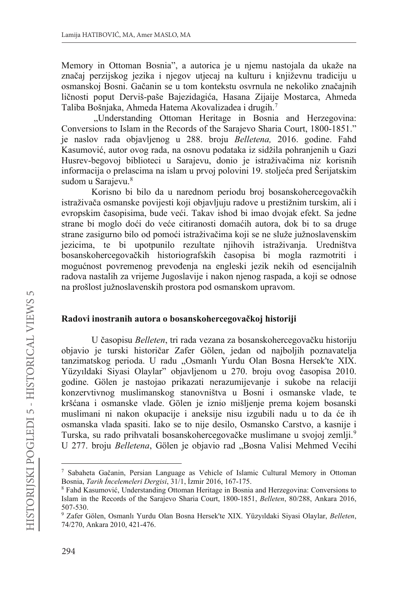Memory in Ottoman Bosnia", a autorica je u njemu nastojala da ukaže na značaj perzijskog jezika i njegov utjecaj na kulturu i književnu tradiciju u osmanskoj Bosni. Gačanin se u tom kontekstu osvrnula ne nekoliko značajnih ličnosti poput Derviš-paše Bajezidagića, Hasana Zijaije Mostarca, Ahmeda Taliba Bošnjaka, Ahmeda Hatema Akovalizadea i drugih.7

"Understanding Ottoman Heritage in Bosnia and Herzegovina: Conversions to Islam in the Records of the Sarajevo Sharia Court, 1800-1851." je naslov rada objavljenog u 288. broju *Belletena,* 2016. godine. Fahd Kasumović, autor ovog rada, na osnovu podataka iz sidžila pohranjenih u Gazi Husrev-begovoj biblioteci u Sarajevu, donio je istraživačima niz korisnih informacija o prelascima na islam u prvoj polovini 19. stoljeća pred Šerijatskim sudom u Sarajevu.<sup>8</sup>

Korisno bi bilo da u narednom periodu broj bosanskohercegovačkih istraživača osmanske povijesti koji objavljuju radove u prestižnim turskim, ali i evropskim časopisima, bude veći. Takav ishod bi imao dvojak efekt. Sa jedne strane bi moglo doći do veće citiranosti domaćih autora, dok bi to sa druge strane zasigurno bilo od pomoći istraživačima koji se ne služe južnoslavenskim jezicima, te bi upotpunilo rezultate njihovih istraživanja. Uredništva bosanskohercegovačkih historiografskih časopisa bi mogla razmotriti i mogućnost povremenog prevođenja na engleski jezik nekih od esencijalnih radova nastalih za vrijeme Jugoslavije i nakon njenog raspada, a koji se odnose na prošlost južnoslavenskih prostora pod osmanskom upravom.

#### Radovi inostranih autora o bosanskohercegovačkoj historiji

U časopisu *Belleten*, tri rada vezana za bosanskohercegovačku historiju objavio je turski historičar Zafer Gölen, jedan od najboljih poznavatelja tanzimatskog perioda. U radu "Osmanlı Yurdu Olan Bosna Hersek'te XIX. Yüzyıldaki Siyasi Olaylar" objavljenom u 270. broju ovog časopisa 2010. godine. Gölen je nastojao prikazati nerazumijevanje i sukobe na relaciji konzervtivnog muslimanskog stanovništva u Bosni i osmanske vlade, te kršćana i osmanske vlade. Gölen je iznio mišljenje prema kojem bosanski muslimani ni nakon okupacije i aneksije nisu izgubili nadu u to da će ih osmanska vlada spasiti. Iako se to nije desilo, Osmansko Carstvo, a kasnije i Turska, su rado prihvatali bosanskohercegovačke muslimane u svojoj zemlji.<sup>9</sup> U 277. broju *Belletena*, Gölen je objavio rad "Bosna Valisi Mehmed Vecihi

<sup>&</sup>lt;sup>7</sup> Sabaheta Gačanin, Persian Language as Vehicle of Islamic Cultural Memory in Ottoman Bosnia, *Tarih İncelemeleri Dergisi*, 31/1, İzmir 2016, 167-175.

<sup>&</sup>lt;sup>8</sup> Fahd Kasumović, Understanding Ottoman Heritage in Bosnia and Herzegovina: Conversions to Islam in the Records of the Sarajevo Sharia Court, 1800-1851, *Belleten*, 80/288, Ankara 2016, 507-530.

<sup>&</sup>lt;sup>9</sup> Zafer Gölen, Osmanlı Yurdu Olan Bosna Hersek'te XIX. Yüzyıldaki Siyasi Olaylar, Belleten, 74/270, Ankara 2010, 421-476.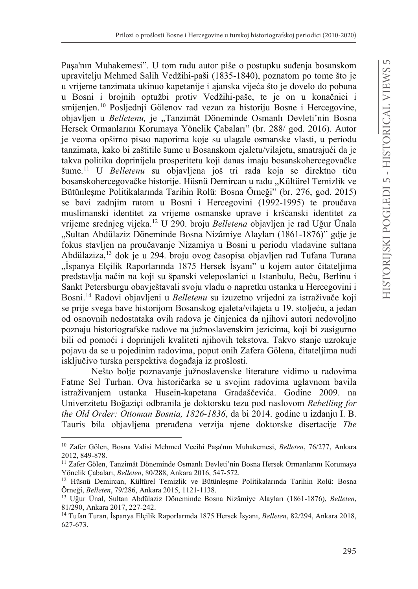Paşa'nın Muhakemesi". U tom radu autor piše o postupku suđenja bosanskom upravitelju Mehmed Salih Vedžihi-paši (1835-1840), poznatom po tome što je u vrijeme tanzimata ukinuo kapetanije i ajanska vijeća što je dovelo do pobuna u Bosni i brojnih optužbi protiv Vedžihi-paše, te je on u konačnici i smijenjen.<sup>10</sup> Posljednji Gölenov rad vezan za historiju Bosne i Hercegovine, objavljen u *Belletenu*, je "Tanzimât Döneminde Osmanlı Devleti'nin Bosna Hersek Ormanlarını Korumaya Yönelik Çabaları" (br. 288/ god. 2016). Autor je veoma opširno pisao naporima koje su ulagale osmanske vlasti, u periodu tanzimata, kako bi zaštitile šume u Bosanskom ejaletu/vilajetu, smatrajući da je takva politika doprinijela prosperitetu koji danas imaju bosanskohercegovačke šume.<sup>11</sup> U *Belletenu* su objavljena još tri rada koja se direktno tiču bosanskohercegovačke historije. Hüsnü Demircan u radu "Kültürel Temizlik ve Bütünlesme Politikalarında Tarihin Rolü: Bosna Örneği" (br. 276, god. 2015) se bavi zadnjim ratom u Bosni i Hercegovini (1992-1995) te proučava muslimanski identitet za vrijeme osmanske uprave i kršćanski identitet za vrijeme srednjeg vijeka.<sup>12</sup> U 290. broju *Belletena* objavljen je rad Uğur Ünala "Sultan Abdülaziz Döneminde Bosna Nizâmiye Alayları (1861-1876)" gdie je fokus stavljen na proučavanje Nizamiya u Bosni u periodu vladavine sultana Abdülaziza,<sup>13</sup> dok je u 294. broju ovog časopisa objavljen rad Tufana Turana "İspanya Elçilik Raporlarında 1875 Hersek İsyanı" u kojem autor čitateljima predstavlja način na koji su španski veleposlanici u Istanbulu, Beču, Berlinu i Sankt Petersburgu obavještavali svoju vladu o napretku ustanka u Hercegovini i Bosni.<sup>14</sup> Radovi objavljeni u *Belletenu* su izuzetno vrijedni za istraživače koji se prije svega bave historijom Bosanskog ejaleta/vilajeta u 19. stoljeću, a jedan od osnovnih nedostataka ovih radova je činjenica da njihovi autori nedovoljno poznaju historiografske radove na južnoslavenskim jezicima, koji bi zasigurno bili od pomoći i doprinijeli kvaliteti njihovih tekstova. Takvo stanje uzrokuje pojavu da se u pojedinim radovima, poput onih Zafera Gölena, čitateljima nudi isključivo turska perspektiva događaja iz prošlosti.

Nešto bolje poznavanje južnoslavenske literature vidimo u radovima Fatme Sel Turhan. Ova historičarka se u svojim radovima uglavnom bavila istraživanjem ustanka Husein-kapetana Gradaščevića. Godine 2009. na 8QLYHU]LWHWX%R÷D]LoLodbranila je doktorsku tezu pod naslovom *Rebelling for the Old Order: Ottoman Bosnia, 1826-1836*, da bi 2014. godine u izdanju I. B. Tauris bila objavljena prerađena verzija njene doktorske disertacije The

<sup>&</sup>lt;sup>10</sup> Zafer Gölen, Bosna Valisi Mehmed Vecihi Paşa'nın Muhakemesi, Belleten, 76/277, Ankara 2012, 849-878.

<sup>&</sup>lt;sup>11</sup> Zafer Gölen, Tanzimât Döneminde Osmanlı Devleti'nin Bosna Hersek Ormanlarını Korumaya Yönelik Cabaları, Belleten, 80/288, Ankara 2016, 547-572.

<sup>&</sup>lt;sup>12</sup> Hüsnü Demircan, Kültürel Temizlik ve Bütünleşme Politikalarında Tarihin Rolü: Bosna Örneği, Belleten, 79/286, Ankara 2015, 1121-1138.

<sup>&</sup>lt;sup>13</sup> Uğur Ünal, Sultan Abdülaziz Döneminde Bosna Nizâmiye Alayları (1861-1876), *Belleten*, 81/290, Ankara 2017, 227-242.

<sup>&</sup>lt;sup>14</sup> Tufan Turan, İspanya Elçilik Raporlarında 1875 Hersek İsyanı, *Belleten*, 82/294, Ankara 2018, 627-673.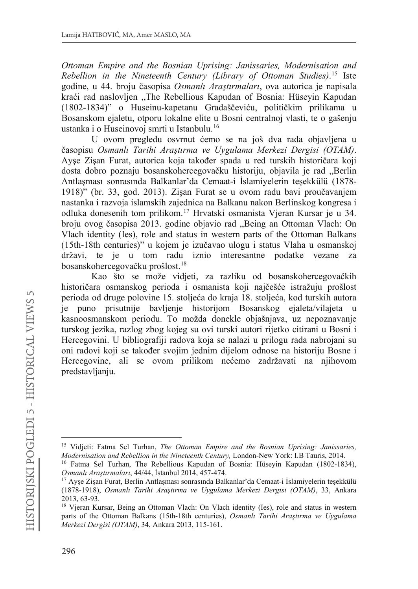Ottoman Empire and the Bosnian Uprising: Janissaries, Modernisation and Rebellion in the Nineteenth Century (Library of Ottoman Studies).<sup>15</sup> Iste godine, u 44. broju časopisa Osmanlı Arastırmaları, ova autorica je napisala kraći rad naslovljen "The Rebellious Kapudan of Bosnia: Hüseyin Kapudan (1802-1834)" o Huseinu-kapetanu Gradaščeviću, političkim prilikama u Bosanskom ejaletu, otporu lokalne elite u Bosni centralnoj vlasti, te o gašenju ustanka i o Huseinovoj smrti u Istanbulu.<sup>16</sup>

U ovom pregledu osvrnut ćemo se na još dva rada objavljena u časopisu Osmanlı Tarihi Araştırma ve Uygulama Merkezi Dergisi (OTAM). Ayse Zisan Furat, autorica koja također spada u red turskih historičara koji dosta dobro poznaju bosanskohercegovačku historiju, objavila je rad "Berlin Antlaşması sonrasında Balkanlar'da Cemaat-i İslamiyelerin teşekkülü (1878-1918)" (br. 33, god. 2013). Zisan Furat se u ovom radu bavi proučavanjem nastanka i razvoja islamskih zajednica na Balkanu nakon Berlinskog kongresa i odluka donesenih tom prilikom.<sup>17</sup> Hrvatski osmanista Vjeran Kursar je u 34. broju ovog časopisa 2013. godine objavio rad "Being an Ottoman Vlach: On Vlach identity (Ies), role and status in western parts of the Ottoman Balkans (15th-18th centuries)" u kojem je izučavao ulogu i status Vlaha u osmanskoj državi, te je u tom radu iznio interesantne podatke vezane za bosanskohercegovačku prošlost.<sup>18</sup>

Kao što se može vidjeti, za razliku od bosanskohercegovačkih historičara osmanskog perioda i osmanista koji najčešće istražuju prošlost perioda od druge polovine 15. stoljeća do kraja 18. stoljeća, kod turskih autora je puno prisutnije bavljenje historijom Bosanskog ejaleta/vilajeta u kasnoosmanskom periodu. To možda donekle objašnjava, uz nepoznavanje turskog jezika, razlog zbog kojeg su ovi turski autori rijetko citirani u Bosni i Hercegovini. U bibliografiji radova koja se nalazi u prilogu rada nabrojani su oni radovi koji se također svojim jednim dijelom odnose na historiju Bosne i Hercegovine, ali se ovom prilikom nećemo zadržavati na njihovom predstavljanju.

<sup>&</sup>lt;sup>15</sup> Vidjeti: Fatma Sel Turhan, *The Ottoman Empire and the Bosnian Uprising: Janissaries*, Modernisation and Rebellion in the Nineteenth Century, London-New York: I.B Tauris, 2014.

<sup>&</sup>lt;sup>16</sup> Fatma Sel Turhan, The Rebellious Kapudan of Bosnia: Hüseyin Kapudan (1802-1834), Osmanlı Arastırmaları, 44/44, İstanbul 2014, 457-474.

<sup>&</sup>lt;sup>17</sup> Ayşe Zişan Furat, Berlin Antlaşması sonrasında Balkanlar'da Cemaat-i İslamiyelerin teşekkülü (1878-1918), Osmanlı Tarihi Araştırma ve Uygulama Merkezi Dergisi (OTAM), 33, Ankara 2013, 63-93.

<sup>&</sup>lt;sup>18</sup> Vjeran Kursar, Being an Ottoman Vlach: On Vlach identity (Ies), role and status in western parts of the Ottoman Balkans (15th-18th centuries), Osmanlı Tarihi Arastırma ve Uygulama Merkezi Dergisi (OTAM), 34, Ankara 2013, 115-161.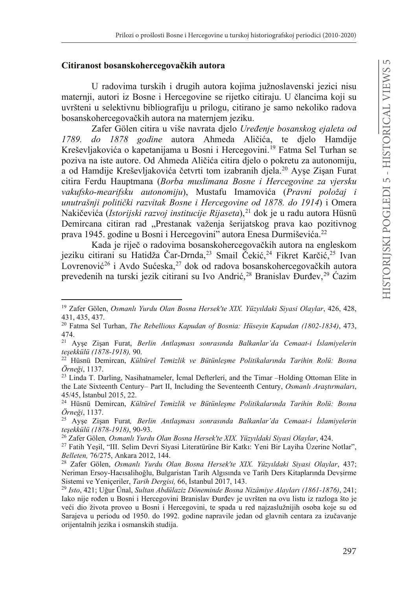## Citiranost bosanskohercegovačkih autora

U radovima turskih i drugih autora kojima južnoslavenski jezici nisu maternji, autori iz Bosne i Hercegovine se rijetko citiraju. U člancima koji su uvršteni u selektivnu bibliografiju u prilogu, citirano je samo nekoliko radova bosanskohercegovačkih autora na maternjem jeziku.

Zafer Gölen citira u više navrata djelo Uređenje bosanskog ejaleta od do 1878 godine autora Ahmeda Aličića, te djelo Hamdije 1789. Kreševljakovića o kapetanijama u Bosni i Hercegovini.<sup>19</sup> Fatma Sel Turhan se poziva na iste autore. Od Ahmeda Aličića citira dielo o pokretu za autonomiju. a od Hamdije Kreševljakovića četvrti tom izabranih djela.<sup>20</sup> Ayse Zisan Furat citira Ferdu Hauptmana (Borba muslimana Bosne i Hercegovine za vjersku vakufsko-mearifsku autonomiju), Mustafu Imamovića (Pravni položaj i unutrašnji politički razvitak Bosne i Hercegovine od 1878. do 1914) i Omera Nakičevića (Istorijski razvoj institucije Rijaseta),<sup>21</sup> dok je u radu autora Hüsnü Demircana citiran rad "Prestanak važenja šerijatskog prava kao pozitivnog prava 1945. godine u Bosni i Hercegovini" autora Enesa Durmiševića.<sup>22</sup>

Kada je riječ o radovima bosanskohercegovačkih autora na engleskom jeziku citirani su Hatidža Čar-Drnda,<sup>23</sup> Smail Čekić,<sup>24</sup> Fikret Karčić,<sup>25</sup> Ivan Lovrenović<sup>26</sup> i Avdo Sućeska,<sup>27</sup> dok od radova bosanskohercegovačkih autora prevedenih na turski jezik citirani su Ivo Andrić,<sup>28</sup> Branislav Đurđev,<sup>29</sup> Ćazim

<sup>&</sup>lt;sup>19</sup> Zafer Gölen, Osmanlı Yurdu Olan Bosna Hersek'te XIX. Yüzyıldaki Siyasi Olaylar, 426, 428, 431, 435, 437.

<sup>&</sup>lt;sup>20</sup> Fatma Sel Turhan, The Rebellious Kapudan of Bosnia: Hüseyin Kapudan (1802-1834), 473, 474.

<sup>&</sup>lt;sup>21</sup> Ayşe Zişan Furat, Berlin Antlaşması sonrasında Balkanlar'da Cemaat-i İslamiyelerin tesekkülü (1878-1918). 90.

<sup>&</sup>lt;sup>22</sup> Hüsnü Demircan, Kültürel Temizlik ve Bütünlesme Politikalarında Tarihin Rolü: Bosna Örneği, 1137.

<sup>&</sup>lt;sup>23</sup> Linda T. Darling, Nasihatnameler, Icmal Defterleri, and the Timar -Holding Ottoman Elite in the Late Sixteenth Century– Part II, Including the Seventeenth Century, Osmanlı Arastırmaları, 45/45, İstanbul 2015, 22.

<sup>&</sup>lt;sup>24</sup> Hüsnü Demircan, Kültürel Temizlik ve Bütünleşme Politikalarında Tarihin Rolü: Bosna Örneği, 1137.

<sup>&</sup>lt;sup>25</sup> Ayşe Zişan Furat, Berlin Antlaşması sonrasında Balkanlar'da Cemaat-i İslamiyelerin teşekkülü (1878-1918), 90-93.

<sup>&</sup>lt;sup>26</sup> Zafer Gölen, Osmanlı Yurdu Olan Bosna Hersek'te XIX. Yüzyıldaki Siyasi Olaylar, 424.

<sup>&</sup>lt;sup>27</sup> Fatih Yeşil, "III. Selim Devri Siyasi Literatürüne Bir Katkı: Yeni Bir Layiha Üzerine Notlar", Belleten, 76/275, Ankara 2012, 144.

<sup>&</sup>lt;sup>28</sup> Zafer Gölen, Osmanlı Yurdu Olan Bosna Hersek'te XIX. Yüzyıldaki Siyasi Olaylar, 437; Neriman Ersoy-Hacısalihoğlu, Bulgaristan Tarih Algısında ve Tarih Ders Kitaplarında Devsirme Sistemi ve Yeniçeriler, Tarih Dergisi, 66, İstanbul 2017, 143.

 $^{29}$  Isto, 421; Uğur Ünal, Sultan Abdülaziz Döneminde Bosna Nizâmiye Alayları (1861-1876), 241; Iako nije rođen u Bosni i Hercegovini Branislav Đurđev je uvršten na ovu listu iz razloga što je veći dio života proveo u Bosni i Hercegovini, te spada u red najzaslužnijih osoba koje su od Sarajeva u periodu od 1950. do 1992. godine napravile jedan od glavnih centara za izučavanje orijentalnih jezika i osmanskih studija.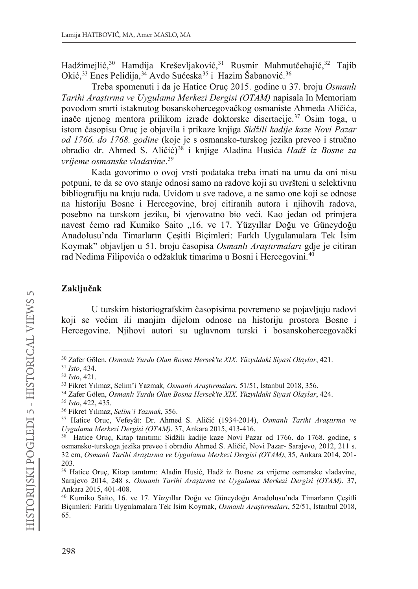Hadžimejlić,<sup>30</sup> Hamdija Kreševljaković,<sup>31</sup> Rusmir Mahmutčehajić,<sup>32</sup> Tajib Okić,<sup>33</sup> Enes Pelidija,<sup>34</sup> Avdo Sućeska<sup>35</sup> i Hazim Šabanović.<sup>36</sup>

Treba spomenuti i da je Hatice Oruç 2015. godine u 37. broju Osmanlı Tarihi Arastırma ve Uvgulama Merkezi Dergisi (OTAM) napisala In Memoriam povodom smrti istaknutog bosanskohercegovačkog osmaniste Ahmeda Aličića. inače njenog mentora prilikom izrade doktorske disertacije.<sup>37</sup> Osim toga, u istom časopisu Oruc je objavila i prikaze knjiga Sidžili kadije kaze Novi Pazar od 1766. do 1768. godine (koje je s osmansko-turskog jezika preveo i stručno obradio dr. Ahmed S. Aličić)<sup>38</sup> i knjige Aladina Husića Hadž iz Bosne za vrijeme osmanske vladavine.<sup>39</sup>

Kada govorimo o ovoj vrsti podataka treba imati na umu da oni nisu potpuni, te da se ovo stanje odnosi samo na radove koji su uvršteni u selektivnu bibliografiju na kraju rada. Uvidom u sve radove, a ne samo one koji se odnose na historiju Bosne i Hercegovine, broj citiranih autora i njihovih radova, posebno na turskom jeziku, bi vjerovatno bio veći. Kao jedan od primjera navest ćemo rad Kumiko Saito "16. ve 17. Yüzyıllar Doğu ve Güneydoğu Anadolusu'nda Timarların Çeşitli Biçimleri: Farklı Uygulamalara Tek İsim Koymak" objavljen u 51. broju časopisa Osmanlı Arastırmaları gdje je citiran rad Nedima Filipovića o odžakluk timarima u Bosni i Hercegovini.<sup>40</sup>

## Zaključak

U turskim historiografskim časopisima povremeno se pojavljuju radovi koji se većim ili manjim dijelom odnose na historiju prostora Bosne i Hercegovine. Njihovi autori su uglavnom turski i bosanskohercegovački

<sup>&</sup>lt;sup>30</sup> Zafer Gölen, Osmanlı Yurdu Olan Bosna Hersek'te XIX. Yüzyıldaki Siyasi Olaylar, 421.

<sup>&</sup>lt;sup>31</sup> Isto, 434.

 $32$  Isto, 421.

<sup>&</sup>lt;sup>33</sup> Fikret Yılmaz, Selim'i Yazmak, Osmanlı Araştırmaları, 51/51, İstanbul 2018, 356.

<sup>&</sup>lt;sup>34</sup> Zafer Gölen, Osmanlı Yurdu Olan Bosna Hersek'te XIX. Yüzyıldaki Siyasi Olaylar, 424.

<sup>&</sup>lt;sup>35</sup> Isto, 422, 435.

<sup>&</sup>lt;sup>36</sup> Fikret Yılmaz, Selim'i Yazmak, 356.

<sup>&</sup>lt;sup>37</sup> Hatice Oruç, Vefeyât: Dr. Ahmed S. Aličić (1934-2014), Osmanlı Tarihi Araştırma ve Uygulama Merkezi Dergisi (OTAM), 37, Ankara 2015, 413-416.

<sup>&</sup>lt;sup>38</sup> Hatice Oruc, Kitap tanıtımı: Sidžili kadije kaze Novi Pazar od 1766. do 1768. godine, s osmansko-turskoga jezika preveo i obradio Ahmed S. Aličić, Novi Pazar-Sarajevo, 2012, 211 s. 32 cm, Osmanlı Tarihi Arastırma ve Uygulama Merkezi Dergisi (OTAM), 35, Ankara 2014, 201-203.

<sup>&</sup>lt;sup>39</sup> Hatice Oruç, Kitap tanıtımı: Aladin Husić, Hadž iz Bosne za vrijeme osmanske vladavine, Sarajevo 2014, 248 s. Osmanlı Tarihi Araştırma ve Uygulama Merkezi Dergisi (OTAM), 37, Ankara 2015, 401-408.

<sup>&</sup>lt;sup>40</sup> Kumiko Saito, 16. ve 17. Yüzyıllar Doğu ve Güneydoğu Anadolusu'nda Timarların Çeşitli Biçimleri: Farklı Uygulamalara Tek İsim Koymak, Osmanlı Araştırmaları, 52/51, İstanbul 2018, 65.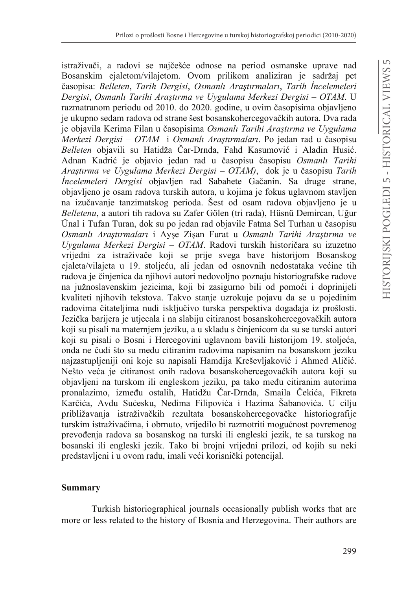istraživači, a radovi se najčešće odnose na period osmanske uprave nad Bosanskim ejaletom/vilajetom. Ovom prilikom analiziran je sadržaj pet  $\check{c}$ asopisa: Belleten, *Tarih Dergisi, Osmanlı Arastırmaları, Tarih İncelemeleri Dergisi, Osmanlı Tarihi Arastırma ve Uvgulama Merkezi Dergisi – OTAM.* U razmatranom periodu od 2010. do 2020. godine, u ovim časopisima objavljeno je ukupno sedam radova od strane šest bosanskohercegovačkih autora. Dva rada je objavila Kerima Filan u časopisima Osmanlı Tarihi Arastırma ve Uvgulama *Merkezi Dergisi – OTAM i Osmanlı Arastırmaları*. Po jedan rad u časopisu *Belleten* objavili su Hatidža Čar-Drnda, Fahd Kasumović i Aladin Husić. Adnan Kadrić je objavio jedan rad u časopisu časopisu Osmanlı Tarihi *Arastirma ve Uvgulama Merkezi Dergisi – OTAM)*, dok je u časopisu Tarih *İncelemeleri Dergisi* objavljen rad Sabahete Gačanin. Sa druge strane, objavljeno je osam radova turskih autora, u kojima je fokus uglavnom stavljen na izučavanje tanzimatskog perioda. Šest od osam radova objavljeno je u *Belletenu*, a autori tih radova su Zafer Gölen (tri rada), Hüsnü Demircan, Uğur Ünal i Tufan Turan, dok su po jedan rad objavile Fatma Sel Turhan u časopisu *Osmanlı Araştırmaları* i Ayşe Zişan Furat u Osmanlı Tarihi Araştırma ve *Uygulama Merkezi Dergisi – OTAM*. Radovi turskih historičara su izuzetno vrijedni za istraživače koji se prije svega bave historijom Bosanskog ejaleta/vilajeta u 19. stoljeću, ali jedan od osnovnih nedostataka većine tih radova je činjenica da njihovi autori nedovoljno poznaju historiografske radove na južnoslavenskim jezicima, koji bi zasigurno bili od pomoći i doprinijeli kvaliteti njihovih tekstova. Takvo stanje uzrokuje pojavu da se u pojedinim radovima čitateljima nudi isključivo turska perspektiva događaja iz prošlosti. Jezička barijera je utjecala i na slabiju citiranost bosanskohercegovačkih autora koji su pisali na maternjem jeziku, a u skladu s činjenicom da su se turski autori koji su pisali o Bosni i Hercegovini uglavnom bavili historijom 19. stoljeća. onda ne čudi što su među citiranim radovima napisanim na bosanskom jeziku najzastupljeniji oni koje su napisali Hamdija Kreševljaković i Ahmed Aličić. Nešto veća je citiranost onih radova bosanskohercegovačkih autora koji su objavljeni na turskom ili engleskom jeziku, pa tako među citiranim autorima pronalazimo, između ostalih, Hatidžu Čar-Drnda, Smaila Čekića, Fikreta Karčića, Avdu Sućesku, Nedima Filipovića i Hazima Šabanovića. U cilju približavanja istraživačkih rezultata bosanskohercegovačke historiografije turskim istraživačima, i obrnuto, vrijedilo bi razmotriti mogućnost povremenog prevođenja radova sa bosanskog na turski ili engleski jezik, te sa turskog na bosanski ili engleski jezik. Tako bi brojni vrijedni prilozi, od kojih su neki predstavljeni i u ovom radu, imali veći korisnički potencijal.

#### **Summary**

Turkish historiographical journals occasionally publish works that are more or less related to the history of Bosnia and Herzegovina. Their authors are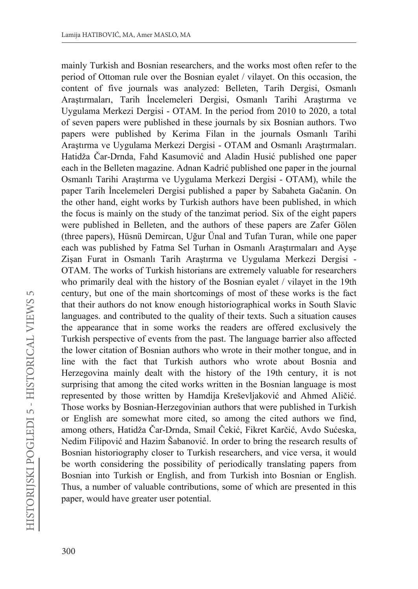mainly Turkish and Bosnian researchers, and the works most often refer to the period of Ottoman rule over the Bosnian evalet / vilayet. On this occasion, the content of five journals was analyzed: Belleten, Tarih Dergisi, Osmanlı Arastırmaları, Tarih İncelemeleri Dergisi, Osmanlı Tarihi Arastırma ve Uygulama Merkezi Dergisi - OTAM. In the period from 2010 to 2020, a total of seven papers were published in these journals by six Bosnian authors. Two papers were published by Kerima Filan in the journals Osmanlı Tarihi Araştırma ve Uygulama Merkezi Dergisi - OTAM and Osmanlı Araştırmaları. Hatidža Čar-Drnda, Fahd Kasumović and Aladin Husić published one paper each in the Belleten magazine. Adnan Kadrić published one paper in the journal Osmanlı Tarihi Arastırma ve Uygulama Merkezi Dergisi - OTAM), while the paper Tarih İncelemeleri Dergisi published a paper by Sabaheta Gačanin. On the other hand, eight works by Turkish authors have been published, in which the focus is mainly on the study of the tanzimat period. Six of the eight papers were published in Belleten, and the authors of these papers are Zafer Gölen (three papers), Hüsnü Demircan, Uğur Ünal and Tufan Turan, while one paper each was published by Fatma Sel Turhan in Osmanlı Araştırmaları and Ayşe Zişan Furat in Osmanlı Tarih Araştırma ve Uygulama Merkezi Dergisi -OTAM. The works of Turkish historians are extremely valuable for researchers who primarily deal with the history of the Bosnian eyalet / vilayet in the 19th century, but one of the main shortcomings of most of these works is the fact that their authors do not know enough historiographical works in South Slavic languages. and contributed to the quality of their texts. Such a situation causes the appearance that in some works the readers are offered exclusively the Turkish perspective of events from the past. The language barrier also affected the lower citation of Bosnian authors who wrote in their mother tongue, and in line with the fact that Turkish authors who wrote about Bosnia and Herzegovina mainly dealt with the history of the 19th century, it is not surprising that among the cited works written in the Bosnian language is most represented by those written by Hamdija Kreševljaković and Ahmed Aličić. Those works by Bosnian-Herzegovinian authors that were published in Turkish or English are somewhat more cited, so among the cited authors we find, among others, Hatidža Čar-Drnda, Smail Čekić, Fikret Karčić, Avdo Sućeska, Nedim Filipović and Hazim Šabanović. In order to bring the research results of Bosnian historiography closer to Turkish researchers, and vice versa, it would be worth considering the possibility of periodically translating papers from Bosnian into Turkish or English, and from Turkish into Bosnian or English. Thus, a number of valuable contributions, some of which are presented in this paper, would have greater user potential.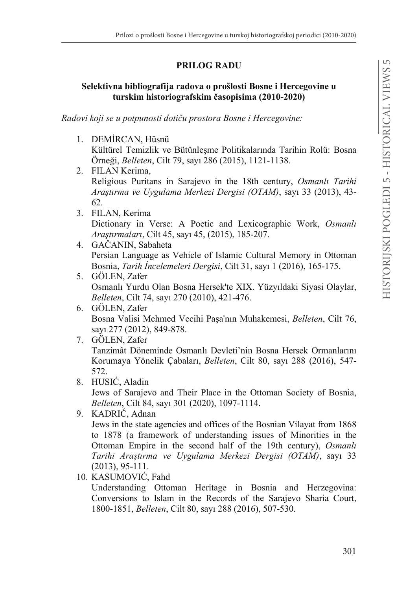## PRILOG RADU

## Selektivna bibliografija radova o prošlosti Bosne i Hercegovine u turskim historiografskim časopisima (2010-2020)

Radovi koji se u potpunosti dotiču prostora Bosne i Hercegovine:

- 1. DEMİRCAN, Hüsnü Kültürel Temizlik ve Bütünleşme Politikalarında Tarihin Rolü: Bosna Örneği, *Belleten*, Cilt 79, sayı 286 (2015), 1121-1138.
- 2. FILAN Kerima. Religious Puritans in Sarajevo in the 18th century, Osmanlı Tarihi Araştırma ve Uygulama Merkezi Dergisi (OTAM), sayı 33 (2013), 43-62.
- 3. FILAN, Kerima Dictionary in Verse: A Poetic and Lexicographic Work, Osmanlı Araştırmaları, Cilt 45, sayı 45, (2015), 185-207.
- 4. GAČANIN, Sabaheta Persian Language as Vehicle of Islamic Cultural Memory in Ottoman Bosnia, Tarih İncelemeleri Dergisi, Cilt 31, sayı 1 (2016), 165-175.
- 5. GÖLEN, Zafer Osmanlı Yurdu Olan Bosna Hersek'te XIX. Yüzyıldaki Siyasi Olaylar, Belleten, Cilt 74, sayı 270 (2010), 421-476.
- 6. GÖLEN, Zafer Bosna Valisi Mehmed Vecihi Pasa'nın Muhakemesi, Belleten, Cilt 76, sayı 277 (2012), 849-878.
- 7. GÖLEN Zafer Tanzimât Döneminde Osmanlı Devleti'nin Bosna Hersek Ormanlarını Korumaya Yönelik Çabaları, Belleten, Cilt 80, sayı 288 (2016), 547-572
- 8. HUSIĆ, Aladin Jews of Sarajevo and Their Place in the Ottoman Society of Bosnia,

Belleten, Cilt 84, sayı 301 (2020), 1097-1114.

- 9. KADRIĆ, Adnan Jews in the state agencies and offices of the Bosnian Vilayat from 1868 to 1878 (a framework of understanding issues of Minorities in the Ottoman Empire in the second half of the 19th century), Osmanlı Tarihi Araştırma ve Uygulama Merkezi Dergisi (OTAM), sayı 33  $(2013), 95-111.$
- 10. KASUMOVIĆ, Fahd

Understanding Ottoman Heritage in Bosnia and Herzegovina: Conversions to Islam in the Records of the Sarajevo Sharia Court, 1800-1851, *Belleten*, Cilt 80, sayı 288 (2016), 507-530.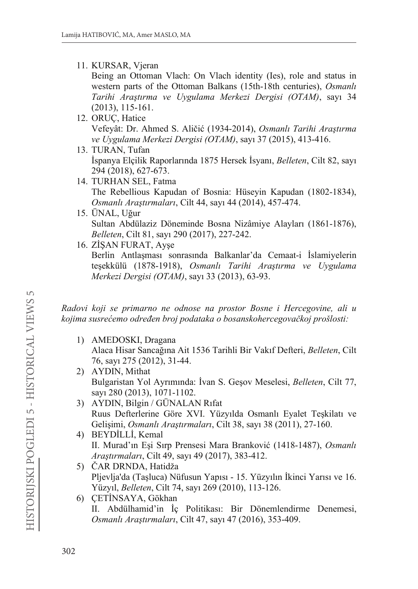## 11. KURSAR, Vieran

Being an Ottoman Vlach: On Vlach identity (Ies), role and status in western parts of the Ottoman Balkans (15th-18th centuries), Osmanlı Tarihi Arastırma ve Uvgulama Merkezi Dergisi (OTAM), sayı 34  $(2013), 115-161.$ 

- 12. ORUÇ, Hatice Vefeyât: Dr. Ahmed S. Aličić (1934-2014), Osmanlı Tarihi Arastırma ve Uvgulama Merkezi Dergisi (OTAM), sayı 37 (2015), 413-416.
- 13. TURAN, Tufan İspanya Elçilik Raporlarında 1875 Hersek İsyanı, *Belleten*, Cilt 82, sayı 294 (2018), 627-673.
- 14. TURHAN SEL, Fatma The Rebellious Kapudan of Bosnia: Hüseyin Kapudan (1802-1834), Osmanlı Araştırmaları, Cilt 44, sayı 44 (2014), 457-474.
- 15. ÜNAL, Uğur Sultan Abdülaziz Döneminde Bosna Nizâmiye Alayları (1861-1876), Belleten, Cilt 81, sayı 290 (2017), 227-242.
- 16. ZİSAN FURAT, Ayse

Berlin Antlaşması sonrasında Balkanlar'da Cemaat-i İslamiyelerin teşekkülü (1878-1918), Osmanlı Tarihi Araştırma ve Uygulama Merkezi Dergisi (OTAM), sayı 33 (2013), 63-93.

Radovi koji se primarno ne odnose na prostor Bosne i Hercegovine, ali u kojima susrećemo određen broj podataka o bosanskohercegovačkoj prošlosti:

- 1) AMEDOSKI, Dragana Alaca Hisar Sancağına Ait 1536 Tarihli Bir Vakıf Defteri, Belleten, Cilt 76, sayı 275 (2012), 31-44.
- 2) AYDIN, Mithat Bulgaristan Yol Ayrımında: İvan S. Geşov Meselesi, Belleten, Cilt 77, sayı 280 (2013), 1071-1102.
- 3) AYDIN, Bilgin / GÜNALAN Rıfat Ruus Defterlerine Göre XVI. Yüzyılda Osmanlı Eyalet Teskilatı ve Gelişimi, Osmanlı Araştırmaları, Cilt 38, sayı 38 (2011), 27-160.
- 4) BEYDİLLİ, Kemal II. Murad'ın Esi Sırp Prensesi Mara Branković (1418-1487), Osmanlı Arastırmaları, Cilt 49, sayı 49 (2017), 383-412.
- 5) ČAR DRNDA, Hatidža Pljevlja'da (Taşluca) Nüfusun Yapısı - 15. Yüzyılın İkinci Yarısı ve 16. Yüzyıl, Belleten, Cilt 74, sayı 269 (2010), 113-126.
- 6) ÇETİNSAYA, Gökhan II. Abdülhamid'in İç Politikası: Bir Dönemlendirme Denemesi, Osmanlı Arastırmaları, Cilt 47, sayı 47 (2016), 353-409.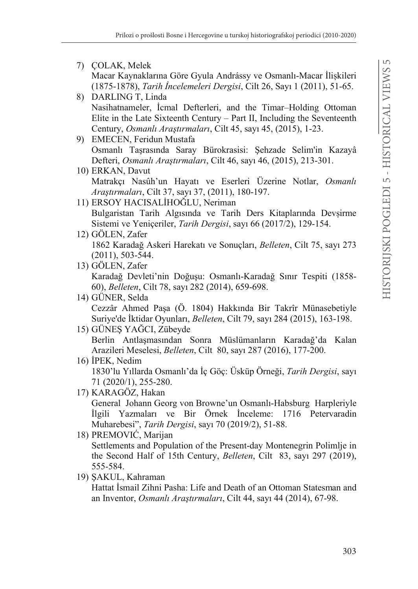## 7) COLAK, Melek Macar Kaynaklarına Göre Gyula Andrássy ve Osmanlı-Macar İliskileri (1875-1878), Tarih İncelemeleri Dergisi, Cilt 26, Sayı 1 (2011), 51-65. 8) DARLING T, Linda Nasihatnameler, İcmal Defterleri, and the Timar-Holding Ottoman Elite in the Late Sixteenth Century – Part II, Including the Seventeenth Century, Osmanlı Arastırmaları, Cilt 45, sayı 45, (2015), 1-23. 9) EMECEN, Feridun Mustafa Osmanlı Taşrasında Saray Bürokrasisi: Şehzade Selim'in Kazayâ Defteri, Osmanlı Arastırmaları, Cilt 46, sayı 46, (2015), 213-301. 10) ERKAN, Davut Matrakçı Nasûh'un Hayatı ve Eserleri Üzerine Notlar, Osmanlı *Arastırmaları*, Cilt 37, savı 37, (2011), 180-197. 11) ERSOY HACISALIHOGLU, Neriman Bulgaristan Tarih Algisinda ve Tarih Ders Kitaplarında Devsirme Sistemi ve Yeniçeriler, Tarih Dergisi, sayı 66 (2017/2), 129-154. 12) GÖLEN, Zafer 1862 Karadağ Askeri Harekatı ve Sonuçları, Belleten, Cilt 75, sayı 273  $(2011), 503-544.$ 13) GÖLEN, Zafer Karadağ Devleti'nin Doğuşu: Osmanlı-Karadağ Sınır Tespiti (1858-60), *Belleten*, Cilt 78, sayı 282 (2014), 659-698. 14) GÜNER, Selda Cezzâr Ahmed Paşa (Ö. 1804) Hakkında Bir Takrîr Münasebetiyle Suriye'de İktidar Oyunları, Belleten, Cilt 79, sayı 284 (2015), 163-198. 15) GÜNES YAĞCI, Zübeyde Berlin Antlaşmasından Sonra Müslümanların Karadağ'da Kalan Arazileri Meselesi, Belleten, Cilt 80, sayı 287 (2016), 177-200. 16) IPEK, Nedim 1830'lu Yıllarda Osmanlı'da İç Göç: Üsküp Örneği, Tarih Dergisi, sayı 71 (2020/1), 255-280. 17) KARAGÖZ, Hakan General Johann Georg von Browne'un Osmanlı-Habsburg Harpleriyle İlgili Yazmaları ve Bir Örnek İnceleme: 1716 Petervaradin Muharebesi", Tarih Dergisi, sayı 70 (2019/2), 51-88. 18) PREMOVIC, Marijan Settlements and Population of the Present-day Montenegrin Polimlje in the Second Half of 15th Century, Belleten, Cilt 83, sayı 297 (2019), 555-584. 19) SAKUL, Kahraman Hattat İsmail Zihni Pasha: Life and Death of an Ottoman Statesman and an Inventor, Osmanlı Araştırmaları, Cilt 44, sayı 44 (2014), 67-98.